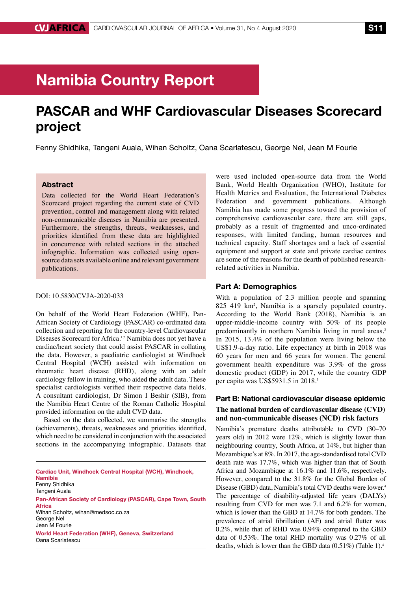# Namibia Country Report

## PASCAR and WHF Cardiovascular Diseases Scorecard project

Fenny Shidhika, Tangeni Auala, Wihan Scholtz, Oana Scarlatescu, George Nel, Jean M Fourie

## Abstract

Data collected for the World Heart Federation's Scorecard project regarding the current state of CVD prevention, control and management along with related non-communicable diseases in Namibia are presented. Furthermore, the strengths, threats, weaknesses, and priorities identified from these data are highlighted in concurrence with related sections in the attached infographic. Information was collected using opensource data sets available online and relevant government publications.

## DOI: 10.5830/CVJA-2020-033

On behalf of the World Heart Federation (WHF), Pan-African Society of Cardiology (PASCAR) co-ordinated data collection and reporting for the country-level Cardiovascular Diseases Scorecard for Africa.<sup>1,2</sup> Namibia does not yet have a cardiac/heart society that could assist PASCAR in collating the data. However, a paediatric cardiologist at Windhoek Central Hospital (WCH) assisted with information on rheumatic heart disease (RHD), along with an adult cardiology fellow in training, who aided the adult data. These specialist cardiologists verified their respective data fields. A consultant cardiologist, Dr Simon I Beshir (SIB), from the Namibia Heart Centre of the Roman Catholic Hospital provided information on the adult CVD data.

Based on the data collected, we summarise the strengths (achievements), threats, weaknesses and priorities identified, which need to be considered in conjunction with the associated sections in the accompanying infographic. Datasets that

Cardiac Unit, Windhoek Central Hospital (WCH), Windhoek, Namibia Fenny Shidhika Tangeni Auala Pan-African Society of Cardiology (PASCAR), Cape Town, South Africa Wihan Scholtz, wihan@medsoc.co.za George Nel Jean M Fourie World Heart Federation (WHF), Geneva, Switzerland Oana Scarlatescu

were used included open-source data from the World Bank, World Health Organization (WHO), Institute for Health Metrics and Evaluation, the International Diabetes Federation and government publications. Although Namibia has made some progress toward the provision of comprehensive cardiovascular care, there are still gaps, probably as a result of fragmented and unco-ordinated responses, with limited funding, human resources and technical capacity. Staff shortages and a lack of essential equipment and support at state and private cardiac centres are some of the reasons for the dearth of published researchrelated activities in Namibia.

## Part A: Demographics

With a population of 2.3 million people and spanning 825 419 km2 , Namibia is a sparsely populated country. According to the World Bank (2018), Namibia is an upper-middle-income country with 50% of its people predominantly in northern Namibia living in rural areas.<sup>3</sup> In 2015, 13.4% of the population were living below the US\$1.9-a-day ratio. Life expectancy at birth in 2018 was 60 years for men and 66 years for women. The general government health expenditure was 3.9% of the gross domestic product (GDP) in 2017, while the country GDP per capita was US\$5931.5 in 2018.<sup>3</sup>

## Part B: National cardiovascular disease epidemic **The national burden of cardiovascular disease (CVD) and non-communicable diseases (NCD) risk factors**

Namibia's premature deaths attributable to CVD (30–70 years old) in 2012 were 12%, which is slightly lower than neighbouring country, South Africa, at 14%, but higher than Mozambique's at 8%. In 2017, the age-standardised total CVD death rate was 17.7%, which was higher than that of South Africa and Mozambique at 16.1% and 11.6%, respectively. However, compared to the 31.8% for the Global Burden of Disease (GBD) data, Namibia's total CVD deaths were lower.4 The percentage of disability-adjusted life years (DALYs) resulting from CVD for men was 7.1 and 6.2% for women, which is lower than the GBD at 14.7% for both genders. The prevalence of atrial fibrillation (AF) and atrial flutter was 0.2%, while that of RHD was 0.94% compared to the GBD data of 0.53%. The total RHD mortality was 0.27% of all deaths, which is lower than the GBD data (0.51%) (Table 1).4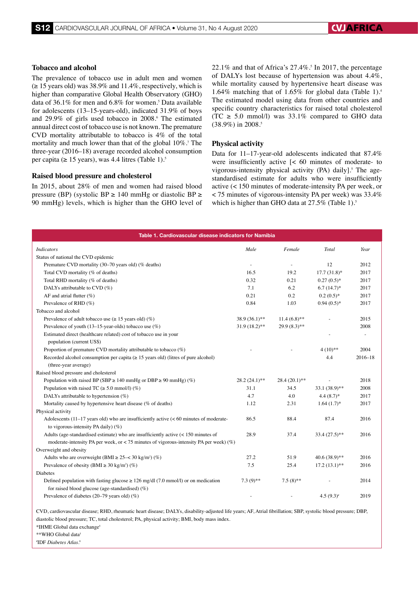## **Tobacco and alcohol**

The prevalence of tobacco use in adult men and women  $(\geq 15$  years old) was 38.9% and 11.4%, respectively, which is higher than comparative Global Health Observatory (GHO) data of  $36.1\%$  for men and  $6.8\%$  for women.<sup>5</sup> Data available for adolescents (13–15-years-old), indicated 31.9% of boys and 29.9% of girls used tobacco in 2008.<sup>6</sup> The estimated annual direct cost of tobacco use is not known. The premature CVD mortality attributable to tobacco is 4% of the total mortality and much lower than that of the global 10%.7 The three-year (2016–18) average recorded alcohol consumption per capita ( $\geq 15$  years), was 4.4 litres (Table 1).<sup>5</sup>

#### **Raised blood pressure and cholesterol**

In 2015, about 28% of men and women had raised blood pressure (BP) (systolic BP ≥ 140 mmHg or diastolic BP ≥ 90 mmHg) levels, which is higher than the GHO level of 22.1% and that of Africa's  $27.4\%$ .<sup>5</sup> In 2017, the percentage of DALYs lost because of hypertension was about 4.4%, while mortality caused by hypertensive heart disease was 1.64% matching that of 1.65% for global data (Table 1).4 The estimated model using data from other countries and specific country characteristics for raised total cholesterol (TC  $\geq$  5.0 mmol/l) was 33.1% compared to GHO data  $(38.9\%)$  in 2008.<sup>5</sup>

#### **Physical activity**

Data for 11–17-year-old adolescents indicated that 87.4% were insufficiently active [< 60 minutes of moderate- to vigorous-intensity physical activity (PA) daily].<sup>5</sup> The agestandardised estimate for adults who were insufficiently active (< 150 minutes of moderate-intensity PA per week, or < 75 minutes of vigorous-intensity PA per week) was 33.4% which is higher than GHO data at 27.5% (Table 1).<sup>5</sup>

| Table 1. Cardiovascular disease indicators for Namibia                                                                                                                                  |                 |                 |                 |             |
|-----------------------------------------------------------------------------------------------------------------------------------------------------------------------------------------|-----------------|-----------------|-----------------|-------------|
| <b>Indicators</b>                                                                                                                                                                       | Male            | Female          | Total           | Year        |
| Status of national the CVD epidemic                                                                                                                                                     |                 |                 |                 |             |
| Premature CVD mortality (30-70 years old) (% deaths)                                                                                                                                    | ÷.              |                 | 12              | 2012        |
| Total CVD mortality (% of deaths)                                                                                                                                                       | 16.5            | 19.2            | $17.7(31.8)$ *  | 2017        |
| Total RHD mortality (% of deaths)                                                                                                                                                       | 0.32            | 0.21            | $0.27(0.5)*$    | 2017        |
| DALYs attributable to CVD $(\%)$                                                                                                                                                        | 7.1             | 6.2             | $6.7(14.7)^*$   | 2017        |
| AF and atrial flutter $(\%)$                                                                                                                                                            | 0.21            | 0.2             | $0.2(0.5)*$     | 2017        |
| Prevalence of RHD (%)                                                                                                                                                                   | 0.84            | 1.03            | $0.94(0.5)*$    | 2017        |
| Tobacco and alcohol                                                                                                                                                                     |                 |                 |                 |             |
| Prevalence of adult tobacco use ( $\geq$ 15 years old) (%)                                                                                                                              | 38.9 (36.1)**   | $11.4(6.8)$ **  |                 | 2015        |
| Prevalence of youth (13–15-year-olds) tobacco use $(\%)$                                                                                                                                | $31.9(18.2)$ ** | $29.9(8.3)$ **  |                 | 2008        |
| Estimated direct (healthcare related) cost of tobacco use in your                                                                                                                       |                 |                 |                 |             |
| population (current US\$)                                                                                                                                                               |                 |                 |                 |             |
| Proportion of premature CVD mortality attributable to tobacco $(\%)$                                                                                                                    |                 |                 | $4(10)**$       | 2004        |
| Recorded alcohol consumption per capita ( $\geq$ 15 years old) (litres of pure alcohol)                                                                                                 |                 |                 | 4.4             | $2016 - 18$ |
| (three-year average)                                                                                                                                                                    |                 |                 |                 |             |
| Raised blood pressure and cholesterol                                                                                                                                                   |                 |                 |                 |             |
| Population with raised BP (SBP $\geq$ 140 mmHg or DBP $\geq$ 90 mmHg) (%)                                                                                                               | $28.2(24.1)$ ** | $28.4(20.1)$ ** |                 | 2018        |
| Population with raised TC ( $\geq$ 5.0 mmol/l) (%)                                                                                                                                      | 31.1            | 34.5            | $33.1(38.9)$ ** | 2008        |
| DALYs attributable to hypertension $(\%)$                                                                                                                                               | 4.7             | 4.0             | $4.4(8.7)$ *    | 2017        |
| Mortality caused by hypertensive heart disease (% of deaths)                                                                                                                            | 1.12            | 2.31            | $1.64(1.7)$ *   | 2017        |
| Physical activity                                                                                                                                                                       |                 |                 |                 |             |
| Adolescents $(11-17$ years old) who are insufficiently active $(< 60$ minutes of moderate-<br>to vigorous-intensity PA daily) $(\%)$                                                    | 86.5            | 88.4            | 87.4            | 2016        |
| Adults (age-standardised estimate) who are insufficiently active $\left($ < 150 minutes of<br>moderate-intensity PA per week, or < 75 minutes of vigorous-intensity PA per week) $(\%)$ | 28.9            | 37.4            | $33.4(27.5)$ ** | 2016        |
| Overweight and obesity                                                                                                                                                                  |                 |                 |                 |             |
| Adults who are overweight (BMI $\geq$ 25- $\lt$ 30 kg/m <sup>2</sup> ) (%)                                                                                                              | 27.2            | 51.9            | $40.6(38.9)$ ** | 2016        |
| Prevalence of obesity (BMI $\geq$ 30 kg/m <sup>2</sup> ) (%)                                                                                                                            | 7.5             | 25.4            | $17.2(13.1)$ ** | 2016        |
| Diabetes                                                                                                                                                                                |                 |                 |                 |             |
| Defined population with fasting glucose $\geq 126$ mg/dl (7.0 mmol/l) or on medication<br>for raised blood glucose (age-standardised) $(\%)$                                            | $7.3(9)$ **     | $7.5(8)$ **     |                 | 2014        |
| Prevalence of diabetes (20–79 years old) $(\%)$                                                                                                                                         |                 |                 | $4.5(9.3)^{*}$  | 2019        |

CVD, cardiovascular disease; RHD, rheumatic heart disease; DALYs, disability-adjusted life years; AF, Atrial fibrillation; SBP, systolic blood pressure; DBP, diastolic blood pressure; TC, total cholesterol; PA, physical activity; BMI, body mass index.

\*IHME Global data exchange4

\*\*WHO Global data5

# IDF *Diabetes Atlas.*8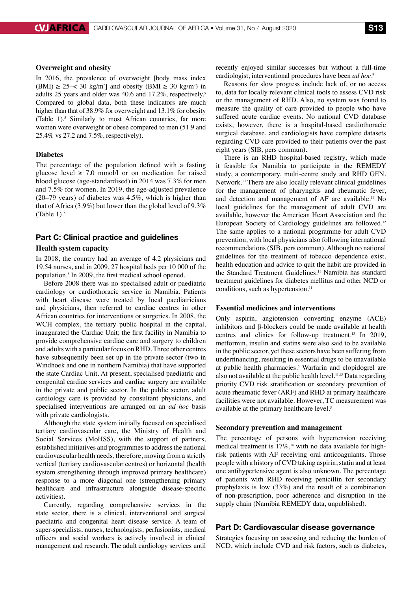## **Overweight and obesity**

In 2016, the prevalence of overweight [body mass index  $(BMI) \ge 25 \le 30$  kg/m<sup>2</sup>] and obesity  $(BMI \ge 30$  kg/m<sup>2</sup>) in adults 25 years and older was 40.6 and 17.2%, respectively.<sup>5</sup> Compared to global data, both these indicators are much higher than that of 38.9% for overweight and 13.1% for obesity (Table 1).<sup>5</sup> Similarly to most African countries, far more women were overweight or obese compared to men (51.9 and 25.4% vs 27.2 and 7.5%, respectively).

#### **Diabetes**

The percentage of the population defined with a fasting glucose level  $\geq$  7.0 mmol/l or on medication for raised blood glucose (age-standardised) in 2014 was 7.3% for men and 7.5% for women. In 2019, the age-adjusted prevalence (20–79 years) of diabetes was 4.5%, which is higher than that of Africa (3.9%) but lower than the global level of 9.3% (Table 1). $8$ 

## Part C: Clinical practice and guidelines

## **Health system capacity**

In 2018, the country had an average of 4.2 physicians and 19.54 nurses, and in 2009, 27 hospital beds per 10 000 of the population.5 In 2009, the first medical school opened.

Before 2008 there was no specialised adult or paediatric cardiology or cardiothoracic service in Namibia. Patients with heart disease were treated by local paediatricians and physicians, then referred to cardiac centres in other African countries for interventions or surgeries. In 2008, the WCH complex, the tertiary public hospital in the capital, inaugurated the Cardiac Unit; the first facility in Namibia to provide comprehensive cardiac care and surgery to children and adults with a particular focus on RHD. Three other centres have subsequently been set up in the private sector (two in Windhoek and one in northern Namibia) that have supported the state Cardiac Unit. At present, specialised paediatric and congenital cardiac services and cardiac surgery are available in the private and public sector. In the public sector, adult cardiology care is provided by consultant physicians, and specialised interventions are arranged on an *ad hoc* basis with private cardiologists.

Although the state system initially focused on specialised tertiary cardiovascular care, the Ministry of Health and Social Services (MoHSS), with the support of partners, established initiatives and programmes to address the national cardiovascular health needs, therefore, moving from a strictly vertical (tertiary cardiovascular centres) or horizontal (health system strengthening through improved primary healthcare) response to a more diagonal one (strengthening primary healthcare and infrastructure alongside disease-specific activities).

Currently, regarding comprehensive services in the state sector, there is a clinical, interventional and surgical paediatric and congenital heart disease service. A team of super-specialists, nurses, technologists, perfusionists, medical officers and social workers is actively involved in clinical management and research. The adult cardiology services until

recently enjoyed similar successes but without a full-time cardiologist, interventional procedures have been *ad hoc.*<sup>9</sup>

Reasons for slow progress include lack of, or no access to, data for locally relevant clinical tools to assess CVD risk or the management of RHD. Also, no system was found to measure the quality of care provided to people who have suffered acute cardiac events. No national CVD database exists, however, there is a hospital-based cardiothoracic surgical database, and cardiologists have complete datasets regarding CVD care provided to their patients over the past eight years (SIB, pers commun).

There is an RHD hospital-based registry, which made it feasible for Namibia to participate in the REMEDY study, a contemporary, multi-centre study and RHD GEN. Network.10 There are also locally relevant clinical guidelines for the management of pharyngitis and rheumatic fever, and detection and management of AF are available.<sup>11</sup> No local guidelines for the management of adult CVD are available, however the American Heart Association and the European Society of Cardiology guidelines are followed.<sup>12</sup> The same applies to a national programme for adult CVD prevention, with local physicians also following international recommendations (SIB, pers commun). Although no national guidelines for the treatment of tobacco dependence exist, health education and advice to quit the habit are provided in the Standard Treatment Guidelines.<sup>11</sup> Namibia has standard treatment guidelines for diabetes mellitus and other NCD or conditions, such as hypertension.<sup>11</sup>

#### **Essential medicines and interventions**

Only aspirin, angiotension converting enzyme (ACE) inhibitors and  $\beta$ -blockers could be made available at health centres and clinics for follow-up treatment.13 In 2019, metformin, insulin and statins were also said to be available in the public sector, yet these sectors have been suffering from underfinancing, resulting in essential drugs to be unavailable at public health pharmacies.<sup>5</sup> Warfarin and clopidogrel are also not available at the public health level.<sup>11,13</sup> Data regarding priority CVD risk stratification or secondary prevention of acute rheumatic fever (ARF) and RHD at primary healthcare facilities were not available. However, TC measurement was available at the primary healthcare level.<sup>5</sup>

#### **Secondary prevention and management**

The percentage of persons with hypertension receiving medical treatment is  $17\%$ ,<sup>14</sup> with no data available for highrisk patients with AF receiving oral anticoagulants. Those people with a history of CVD taking aspirin, statin and at least one antihypertensive agent is also unknown. The percentage of patients with RHD receiving penicillin for secondary prophylaxis is low (33%) and the result of a combination of non-prescription, poor adherence and disruption in the supply chain (Namibia REMEDY data, unpublished).

## Part D: Cardiovascular disease governance

Strategies focusing on assessing and reducing the burden of NCD, which include CVD and risk factors, such as diabetes,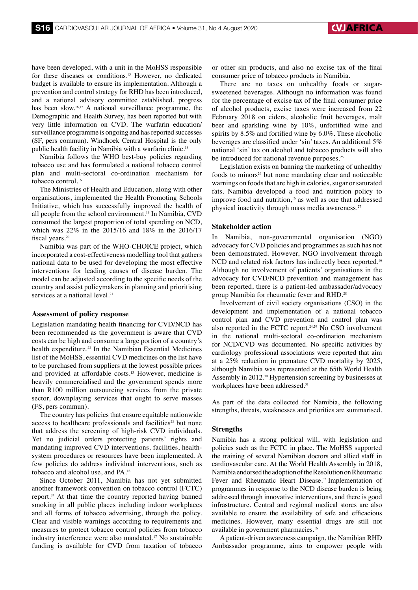have been developed, with a unit in the MoHSS responsible for these diseases or conditions.15 However, no dedicated budget is available to ensure its implementation. Although a prevention and control strategy for RHD has been introduced, and a national advisory committee established, progress has been slow.<sup>16,17</sup> A national surveillance programme, the Demographic and Health Survey, has been reported but with very little information on CVD. The warfarin education/ surveillance programme is ongoing and has reported successes (SF, pers commun). Windhoek Central Hospital is the only public health facility in Namibia with a warfarin clinic.<sup>18</sup>

Namibia follows the WHO best-buy policies regarding tobacco use and has formulated a national tobacco control plan and multi-sectoral co-ordination mechanism for tobacco control.16

The Ministries of Health and Education, along with other organisations, implemented the Health Promoting Schools Initiative, which has successfully improved the health of all people from the school environment.<sup>19</sup> In Namibia, CVD consumed the largest proportion of total spending on NCD, which was 22% in the 2015/16 and 18% in the 2016/17 fiscal years.<sup>20</sup>

Namibia was part of the WHO-CHOICE project, which incorporated a cost-effectiveness modelling tool that gathers national data to be used for developing the most effective interventions for leading causes of disease burden. The model can be adjusted according to the specific needs of the country and assist policymakers in planning and prioritising services at a national level.<sup>21</sup>

#### **Assessment of policy response**

Legislation mandating health financing for CVD/NCD has been recommended as the government is aware that CVD costs can be high and consume a large portion of a country's health expenditure.<sup>22</sup> In the Namibian Essential Medicines list of the MoHSS, essential CVD medicines on the list have to be purchased from suppliers at the lowest possible prices and provided at affordable costs.<sup>13</sup> However, medicine is heavily commercialised and the government spends more than R100 million outsourcing services from the private sector, downplaying services that ought to serve masses (FS, pers commun).

The country has policies that ensure equitable nationwide access to healthcare professionals and facilities $23$  but none that address the screening of high-risk CVD individuals. Yet no judicial orders protecting patients' rights and mandating improved CVD interventions, facilities, healthsystem procedures or resources have been implemented. A few policies do address individual interventions, such as tobacco and alcohol use, and PA.16

Since October 2011, Namibia has not yet submitted another framework convention on tobacco control (FCTC) report.24 At that time the country reported having banned smoking in all public places including indoor workplaces and all forms of tobacco advertising, through the policy. Clear and visible warnings according to requirements and measures to protect tobacco control policies from tobacco industry interference were also mandated.17 No sustainable funding is available for CVD from taxation of tobacco

or other sin products, and also no excise tax of the final consumer price of tobacco products in Namibia.

There are no taxes on unhealthy foods or sugarsweetened beverages. Although no information was found for the percentage of excise tax of the final consumer price of alcohol products, excise taxes were increased from 22 February 2018 on ciders, alcoholic fruit beverages, malt beer and sparkling wine by 10%, unfortified wine and spirits by 8.5% and fortified wine by 6.0%. These alcoholic beverages are classified under 'sin' taxes. An additional 5% national 'sin' tax on alcohol and tobacco products will also be introduced for national revenue purposes.<sup>25</sup>

Legislation exists on banning the marketing of unhealthy foods to minors<sup>26</sup> but none mandating clear and noticeable warnings on foods that are high in calories, sugar or saturated fats. Namibia developed a food and nutrition policy to improve food and nutrition,<sup>16</sup> as well as one that addressed physical inactivity through mass media awareness.<sup>27</sup>

## **Stakeholder action**

In Namibia, non-governmental organisation (NGO) advocacy for CVD policies and programmes as such has not been demonstrated. However, NGO involvement through NCD and related risk factors has indirectly been reported.<sup>16</sup> Although no involvement of patients' organisations in the advocacy for CVD/NCD prevention and management has been reported, there is a patient-led ambassador/advocacy group Namibia for rheumatic fever and RHD.<sup>28</sup>

Involvement of civil society organisations (CSO) in the development and implementation of a national tobacco control plan and CVD prevention and control plan was also reported in the FCTC report.<sup>24,29</sup> No CSO involvement in the national multi-sectoral co-ordination mechanism for NCD/CVD was documented. No specific activities by cardiology professional associations were reported that aim at a 25% reduction in premature CVD mortality by 2025, although Namibia was represented at the 65th World Health Assembly in 2012.30 Hypertension screening by businesses at workplaces have been addressed.<sup>31</sup>

As part of the data collected for Namibia, the following strengths, threats, weaknesses and priorities are summarised.

#### **Strengths**

Namibia has a strong political will, with legislation and policies such as the FCTC in place. The MoHSS supported the training of several Namibian doctors and allied staff in cardiovascular care. At the World Health Assembly in 2018, Namibia endorsed the adoption of the Resolution on Rheumatic Fever and Rheumatic Heart Disease.<sup>32</sup> Implementation of programmes in response to the NCD disease burden is being addressed through innovative interventions, and there is good infrastructure. Central and regional medical stores are also available to ensure the availability of safe and efficacious medicines. However, many essential drugs are still not available in government pharmacies.<sup>16</sup>

A patient-driven awareness campaign, the Namibian RHD Ambassador programme, aims to empower people with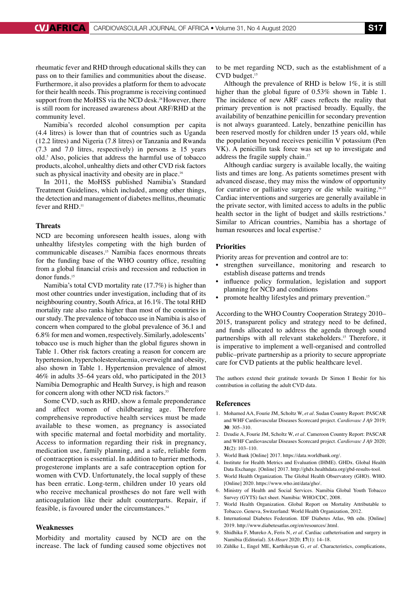rheumatic fever and RHD through educational skills they can pass on to their families and communities about the disease. Furthermore, it also provides a platform for them to advocate for their health needs. This programme is receiving continued support from the MoHSS via the NCD desk.<sup>28</sup> However, there is still room for increased awareness about ARF/RHD at the community level.

Namibia's recorded alcohol consumption per capita (4.4 litres) is lower than that of countries such as Uganda (12.2 litres) and Nigeria (7.8 litres) or Tanzania and Rwanda (7.3 and 7.0 litres, respectively) in persons  $\geq$  15 years old.5 Also, policies that address the harmful use of tobacco products, alcohol, unhealthy diets and other CVD risk factors such as physical inactivity and obesity are in place.<sup>16</sup>

In 2011, the MoHSS published Namibia's Standard Treatment Guidelines, which included, among other things, the detection and management of diabetes mellitus, rheumatic fever and RHD.<sup>11</sup>

## **Threats**

NCD are becoming unforeseen health issues, along with unhealthy lifestyles competing with the high burden of communicable diseases.15 Namibia faces enormous threats for the funding base of the WHO country office, resulting from a global financial crisis and recession and reduction in donor funds.15

Namibia's total CVD mortality rate (17.7%) is higher than most other countries under investigation, including that of its neighbouring country, South Africa, at 16.1%. The total RHD mortality rate also ranks higher than most of the countries in our study. The prevalence of tobacco use in Namibia is also of concern when compared to the global prevalence of 36.1 and 6.8% for men and women, respectively. Similarly, adolescents' tobacco use is much higher than the global figures shown in Table 1. Other risk factors creating a reason for concern are hypertension, hypercholesterolaemia, overweight and obesity, also shown in Table 1. Hypertension prevalence of almost 46% in adults 35–64 years old, who participated in the 2013 Namibia Demographic and Health Survey, is high and reason for concern along with other NCD risk factors.<sup>33</sup>

Some CVD, such as RHD, show a female preponderance and affect women of childbearing age. Therefore comprehensive reproductive health services must be made available to these women, as pregnancy is associated with specific maternal and foetal morbidity and mortality. Access to information regarding their risk in pregnancy, medication use, family planning, and a safe, reliable form of contraception is essential. In addition to barrier methods, progesterone implants are a safe contraception option for women with CVD. Unfortunately, the local supply of these has been erratic. Long-term, children under 10 years old who receive mechanical prostheses do not fare well with anticoagulation like their adult counterparts. Repair, if feasible, is favoured under the circumstances.34

## **Weaknesses**

Morbidity and mortality caused by NCD are on the increase. The lack of funding caused some objectives not to be met regarding NCD, such as the establishment of a CVD budget.15

Although the prevalence of RHD is below 1%, it is still higher than the global figure of 0.53% shown in Table 1. The incidence of new ARF cases reflects the reality that primary prevention is not practised broadly. Equally, the availability of benzathine penicillin for secondary prevention is not always guaranteed. Lately, benzathine penicillin has been reserved mostly for children under 15 years old, while the population beyond receives penicillin V potassium (Pen VK). A penicillin task force was set up to investigate and address the fragile supply chain.<sup>17</sup>

Although cardiac surgery is available locally, the waiting lists and times are long. As patients sometimes present with advanced disease, they may miss the window of opportunity for curative or palliative surgery or die while waiting.<sup>34,35</sup> Cardiac interventions and surgeries are generally available in the private sector, with limited access to adults in the public health sector in the light of budget and skills restrictions.<sup>9</sup> Similar to African countries, Namibia has a shortage of human resources and local expertise.<sup>9</sup>

#### **Priorities**

Priority areas for prevention and control are to:

- strengthen surveillance, monitoring and research to establish disease patterns and trends
- influence policy formulation, legislation and support planning for NCD and conditions
- promote healthy lifestyles and primary prevention.<sup>15</sup>

According to the WHO Country Cooperation Strategy 2010– 2015, transparent policy and strategy need to be defined, and funds allocated to address the agenda through sound partnerships with all relevant stakeholders.<sup>15</sup> Therefore, it is imperative to implement a well-organised and controlled public–private partnership as a priority to secure appropriate care for CVD patients at the public healthcare level.

The authors extend their gratitude towards Dr Simon I Beshir for his contribution in collating the adult CVD data.

#### **References**

- 1. Mohamed AA, Fourie JM, Scholtz W, *et al.* Sudan Country Report: PASCAR and WHF Cardiovascular Diseases Scorecard project. *Cardiovasc J Afr* 2019; **30**: 305–310.
- 2. Dzudie A, Fourie JM, Scholtz W, *et al.* Cameroon Country Report: PASCAR and WHF Cardiovascular Diseases Scorecard project. *Cardiovasc J Afr* 2020; **31**(2): 103–110.
- 3. World Bank [Online] 2017. https://data.worldbank.org/.
- 4. Institute for Health Metrics and Evaluation (IHME). GHDx. Global Health Data Exchange. [Online] 2017. http://ghdx.healthdata.org/gbd-results-tool.
- 5. World Health Organization. The Global Health Observatory (GHO). WHO. [Online] 2020. https://www.who.int/data/gho/.
- 6. Ministry of Health and Social Services. Namibia Global Youth Tobacco Survey (GYTS) fact sheet. Namibia: WHO/CDC, 2008.
- 7. World Health Organization. Global Report on Mortality Attributable to Tobacco. Geneva, Switzerland: World Health Organization, 2012.
- 8. International Diabetes Federation. IDF Diabetes Atlas, 9th edn. [Online] 2019. http://www.diabetesatlas.org/en/resources/.html.
- 9. Shidhika F, Mureko A, Feris N, *et al.* Cardiac catheterisation and surgery in Namibia (Editorial). *SA-Heart* 2020; **17**(1): 14–18.
- 10. Zühlke L, Engel ME, Karthikeyan G, *et al.* Characteristics, complications,